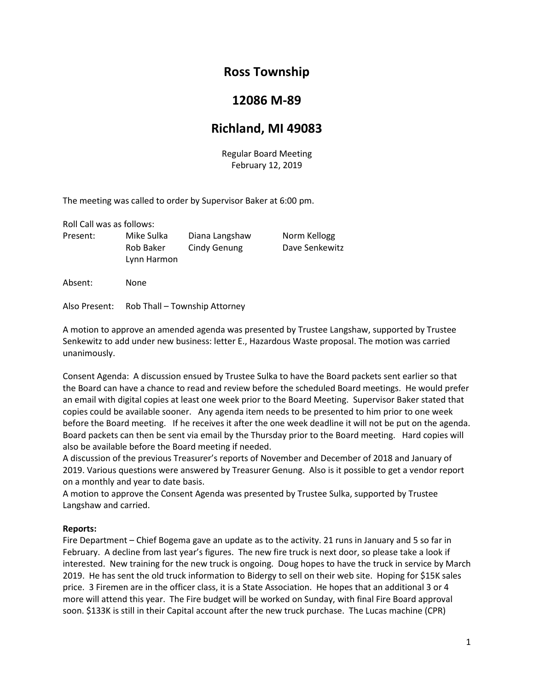# **Ross Township**

## **12086 M-89**

# **Richland, MI 49083**

Regular Board Meeting February 12, 2019

The meeting was called to order by Supervisor Baker at 6:00 pm.

Roll Call was as follows: Present: Mike Sulka Diana Langshaw Norm Kellogg Rob Baker Cindy Genung Dave Senkewitz Lynn Harmon

Absent: None

Also Present: Rob Thall – Township Attorney

A motion to approve an amended agenda was presented by Trustee Langshaw, supported by Trustee Senkewitz to add under new business: letter E., Hazardous Waste proposal. The motion was carried unanimously.

Consent Agenda: A discussion ensued by Trustee Sulka to have the Board packets sent earlier so that the Board can have a chance to read and review before the scheduled Board meetings. He would prefer an email with digital copies at least one week prior to the Board Meeting. Supervisor Baker stated that copies could be available sooner. Any agenda item needs to be presented to him prior to one week before the Board meeting. If he receives it after the one week deadline it will not be put on the agenda. Board packets can then be sent via email by the Thursday prior to the Board meeting. Hard copies will also be available before the Board meeting if needed.

A discussion of the previous Treasurer's reports of November and December of 2018 and January of 2019. Various questions were answered by Treasurer Genung. Also is it possible to get a vendor report on a monthly and year to date basis.

A motion to approve the Consent Agenda was presented by Trustee Sulka, supported by Trustee Langshaw and carried.

## **Reports:**

Fire Department – Chief Bogema gave an update as to the activity. 21 runs in January and 5 so far in February. A decline from last year's figures. The new fire truck is next door, so please take a look if interested. New training for the new truck is ongoing. Doug hopes to have the truck in service by March 2019. He has sent the old truck information to Bidergy to sell on their web site. Hoping for \$15K sales price. 3 Firemen are in the officer class, it is a State Association. He hopes that an additional 3 or 4 more will attend this year. The Fire budget will be worked on Sunday, with final Fire Board approval soon. \$133K is still in their Capital account after the new truck purchase. The Lucas machine (CPR)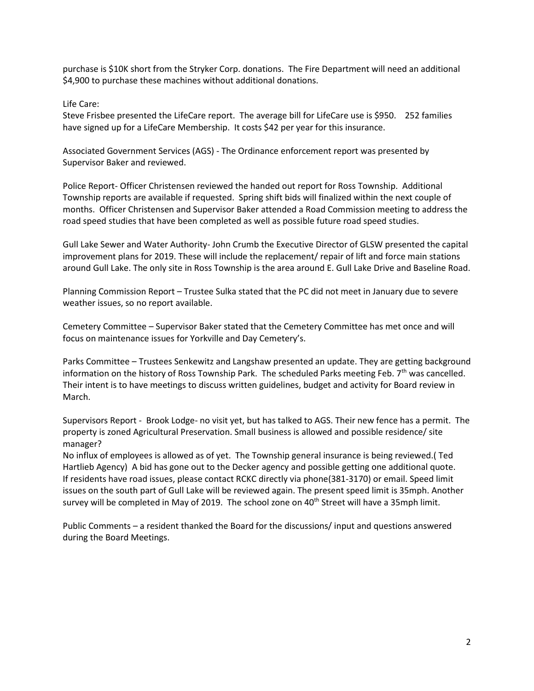purchase is \$10K short from the Stryker Corp. donations. The Fire Department will need an additional \$4,900 to purchase these machines without additional donations.

Life Care:

Steve Frisbee presented the LifeCare report. The average bill for LifeCare use is \$950. 252 families have signed up for a LifeCare Membership. It costs \$42 per year for this insurance.

Associated Government Services (AGS) - The Ordinance enforcement report was presented by Supervisor Baker and reviewed.

Police Report- Officer Christensen reviewed the handed out report for Ross Township. Additional Township reports are available if requested. Spring shift bids will finalized within the next couple of months. Officer Christensen and Supervisor Baker attended a Road Commission meeting to address the road speed studies that have been completed as well as possible future road speed studies.

Gull Lake Sewer and Water Authority- John Crumb the Executive Director of GLSW presented the capital improvement plans for 2019. These will include the replacement/ repair of lift and force main stations around Gull Lake. The only site in Ross Township is the area around E. Gull Lake Drive and Baseline Road.

Planning Commission Report – Trustee Sulka stated that the PC did not meet in January due to severe weather issues, so no report available.

Cemetery Committee – Supervisor Baker stated that the Cemetery Committee has met once and will focus on maintenance issues for Yorkville and Day Cemetery's.

Parks Committee – Trustees Senkewitz and Langshaw presented an update. They are getting background information on the history of Ross Township Park. The scheduled Parks meeting Feb.  $7<sup>th</sup>$  was cancelled. Their intent is to have meetings to discuss written guidelines, budget and activity for Board review in March.

Supervisors Report - Brook Lodge- no visit yet, but has talked to AGS. Their new fence has a permit. The property is zoned Agricultural Preservation. Small business is allowed and possible residence/ site manager?

No influx of employees is allowed as of yet. The Township general insurance is being reviewed.( Ted Hartlieb Agency) A bid has gone out to the Decker agency and possible getting one additional quote. If residents have road issues, please contact RCKC directly via phone(381-3170) or email. Speed limit issues on the south part of Gull Lake will be reviewed again. The present speed limit is 35mph. Another survey will be completed in May of 2019. The school zone on  $40<sup>th</sup>$  Street will have a 35mph limit.

Public Comments – a resident thanked the Board for the discussions/ input and questions answered during the Board Meetings.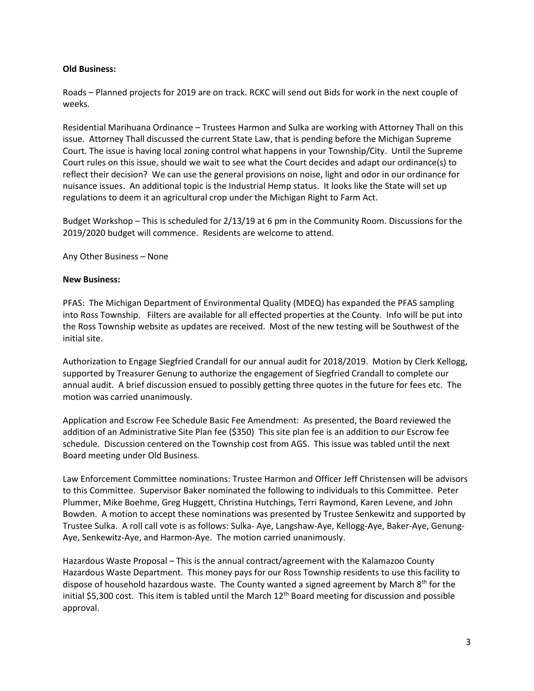## **Old Business:**

Roads – Planned projects for 2019 are on track. RCKC will send out Bids for work in the next couple of weeks.

Residential Marihuana Ordinance – Trustees Harmon and Sulka are working with Attorney Thall on this issue. Attorney Thall discussed the current State Law, that is pending before the Michigan Supreme Court. The issue is having local zoning control what happens in your Township/City. Until the Supreme Court rules on this issue, should we wait to see what the Court decides and adapt our ordinance(s) to reflect their decision? We can use the general provisions on noise, light and odor in our ordinance for nuisance issues. An additional topic is the Industrial Hemp status. It looks like the State will set up regulations to deem it an agricultural crop under the Michigan Right to Farm Act.

Budget Workshop – This is scheduled for 2/13/19 at 6 pm in the Community Room. Discussions for the 2019/2020 budget will commence. Residents are welcome to attend.

Any Other Business – None

#### **New Business:**

PFAS: The Michigan Department of Environmental Quality (MDEQ) has expanded the PFAS sampling into Ross Township. Filters are available for all effected properties at the County. Info will be put into the Ross Township website as updates are received. Most of the new testing will be Southwest of the initial site.

Authorization to Engage Siegfried Crandall for our annual audit for 2018/2019. Motion by Clerk Kellogg, supported by Treasurer Genung to authorize the engagement of Siegfried Crandall to complete our annual audit. A brief discussion ensued to possibly getting three quotes in the future for fees etc. The motion was carried unanimously.

Application and Escrow Fee Schedule Basic Fee Amendment: As presented, the Board reviewed the addition of an Administrative Site Plan fee (\$350) This site plan fee is an addition to our Escrow fee schedule. Discussion centered on the Township cost from AGS. This issue was tabled until the next Board meeting under Old Business.

Law Enforcement Committee nominations: Trustee Harmon and Officer Jeff Christensen will be advisors to this Committee. Supervisor Baker nominated the following to individuals to this Committee. Peter Plummer, Mike Boehme, Greg Huggett, Christina Hutchings, Terri Raymond, Karen Levene, and John Bowden. A motion to accept these nominations was presented by Trustee Senkewitz and supported by Trustee Sulka. A roll call vote is as follows: Sulka- Aye, Langshaw-Aye, Kellogg-Aye, Baker-Aye, Genung-Aye, Senkewitz-Aye, and Harmon-Aye. The motion carried unanimously.

Hazardous Waste Proposal – This is the annual contract/agreement with the Kalamazoo County Hazardous Waste Department. This money pays for our Ross Township residents to use this facility to dispose of household hazardous waste. The County wanted a signed agreement by March 8th for the initial \$5,300 cost. This item is tabled until the March 12<sup>th</sup> Board meeting for discussion and possible approval.